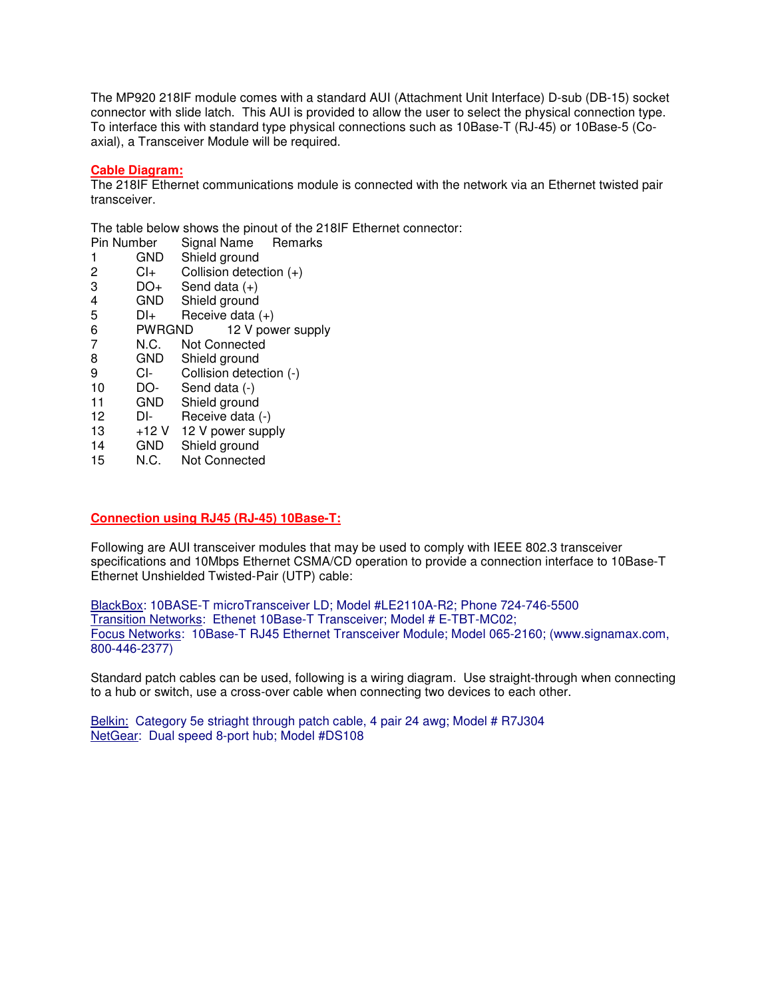The MP920 218IF module comes with a standard AUI (Attachment Unit Interface) D-sub (DB-15) socket connector with slide latch. This AUI is provided to allow the user to select the physical connection type. To interface this with standard type physical connections such as 10Base-T (RJ-45) or 10Base-5 (Coaxial), a Transceiver Module will be required.

## **Cable Diagram:**

The 218IF Ethernet communications module is connected with the network via an Ethernet twisted pair transceiver.

The table below shows the pinout of the 218IF Ethernet connector:

- Pin Number Signal Name Remarks
- 1 GND Shield ground<br>2 Cl+ Collision detec
- $Cl<sub>+</sub>$  Collision detection  $(+)$
- $3$  DO+ Send data  $(+)$
- 4 GND Shield ground<br>5 DI<sub>t</sub> Receive data (
- Receive data  $(+)$
- 6 PWRGND 12 V power supply
- 7 N.C. Not Connected
- 8 GND Shield ground
- 9 CI- Collision detection (-)<br>10 DO- Send data (-)
- 10 DO- Send data (-)<br>11 GND Shield ground
- 11 GND Shield ground
- 12 DI- Receive data (-)
- 13 +12 V 12 V power supply<br>14 GND Shield around
- 14 GND Shield ground
- 15 N.C. Not Connected

## **Connection using RJ45 (RJ-45) 10Base-T:**

Following are AUI transceiver modules that may be used to comply with IEEE 802.3 transceiver specifications and 10Mbps Ethernet CSMA/CD operation to provide a connection interface to 10Base-T Ethernet Unshielded Twisted-Pair (UTP) cable:

BlackBox: 10BASE-T microTransceiver LD; Model #LE2110A-R2; Phone 724-746-5500 Transition Networks: Ethenet 10Base-T Transceiver; Model # E-TBT-MC02; Focus Networks: 10Base-T RJ45 Ethernet Transceiver Module; Model 065-2160; (www.signamax.com, 800-446-2377)

Standard patch cables can be used, following is a wiring diagram. Use straight-through when connecting to a hub or switch, use a cross-over cable when connecting two devices to each other.

Belkin: Category 5e striaght through patch cable, 4 pair 24 awg; Model # R7J304 NetGear: Dual speed 8-port hub; Model #DS108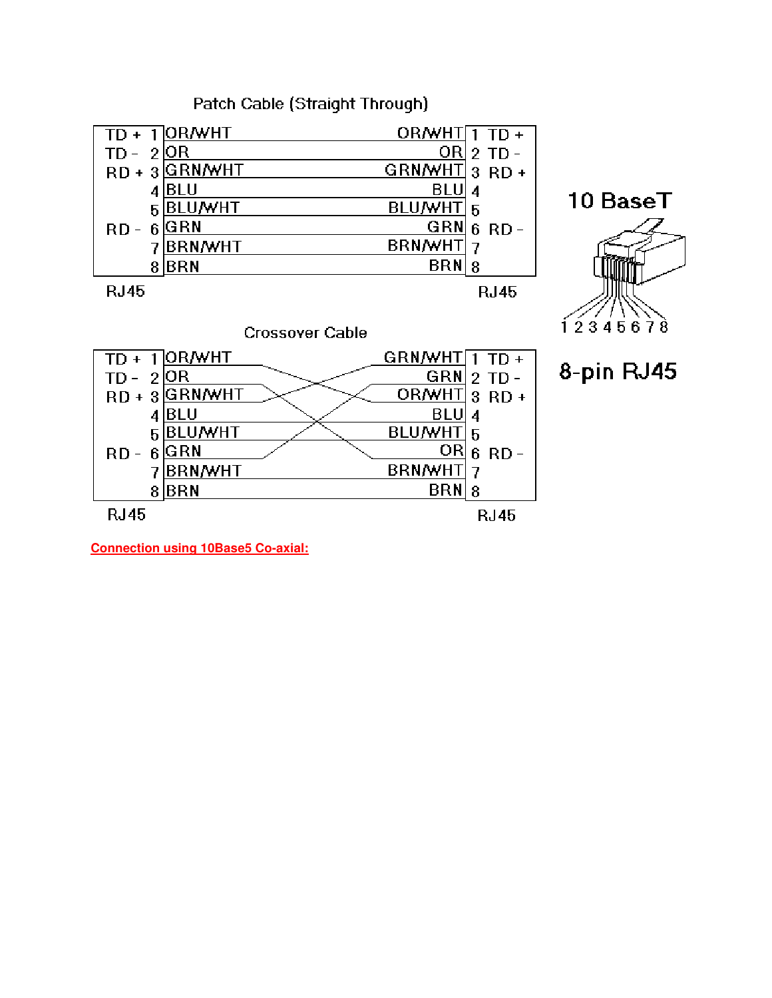Patch Cable (Straight Through)

|             | $\overline{1}$  OR/WHT | $OR/MHT1TD+$   |             |
|-------------|------------------------|----------------|-------------|
| 2           | OR                     | ORI            | $2$ TD -    |
|             | RD + 3 GRN/WHT         | GRNMHT 3 RD +  |             |
| 4           | BLU                    | BLU            |             |
| 5           | <b>BLU/WHT</b>         | <b>BLU/WHT</b> | 5           |
| RD -        | GRN                    | GRN            | 6 RD        |
|             | <b>BRN/WHT</b>         | <b>BRN/WHT</b> |             |
| 8           | BRN                    | BRN            | 8           |
| <b>RJ45</b> |                        |                | <b>RJ45</b> |





8-pin RJ45

**Connection using 10Base5 Co-axial:**